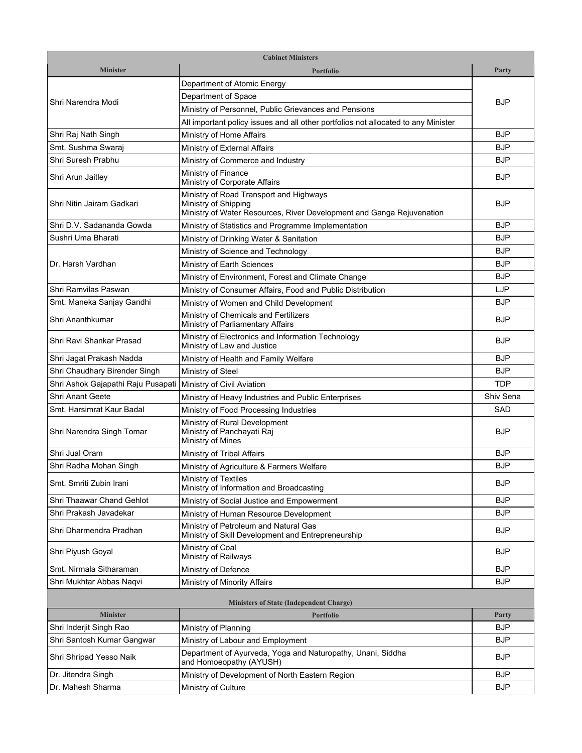| <b>Cabinet Ministers</b>                       |                                                                                                                                          |            |  |
|------------------------------------------------|------------------------------------------------------------------------------------------------------------------------------------------|------------|--|
| <b>Minister</b>                                | <b>Portfolio</b>                                                                                                                         | Party      |  |
| Shri Narendra Modi                             | Department of Atomic Energy                                                                                                              | <b>BJP</b> |  |
|                                                | Department of Space                                                                                                                      |            |  |
|                                                | Ministry of Personnel, Public Grievances and Pensions                                                                                    |            |  |
|                                                | All important policy issues and all other portfolios not allocated to any Minister                                                       |            |  |
| Shri Raj Nath Singh                            | Ministry of Home Affairs                                                                                                                 | <b>BJP</b> |  |
| Smt. Sushma Swaraj                             | Ministry of External Affairs                                                                                                             | <b>BJP</b> |  |
| Shri Suresh Prabhu                             | Ministry of Commerce and Industry                                                                                                        | <b>BJP</b> |  |
| Shri Arun Jaitley                              | Ministry of Finance<br>Ministry of Corporate Affairs                                                                                     | <b>BJP</b> |  |
| Shri Nitin Jairam Gadkari                      | Ministry of Road Transport and Highways<br>Ministry of Shipping<br>Ministry of Water Resources, River Development and Ganga Rejuvenation | <b>BJP</b> |  |
| Shri D.V. Sadananda Gowda                      | Ministry of Statistics and Programme Implementation                                                                                      | <b>BJP</b> |  |
| Sushri Uma Bharati                             | Ministry of Drinking Water & Sanitation                                                                                                  | <b>BJP</b> |  |
|                                                | Ministry of Science and Technology                                                                                                       | <b>BJP</b> |  |
| Dr. Harsh Vardhan                              | Ministry of Earth Sciences                                                                                                               | <b>BJP</b> |  |
|                                                | Ministry of Environment, Forest and Climate Change                                                                                       | <b>BJP</b> |  |
| Shri Ramvilas Paswan                           | Ministry of Consumer Affairs, Food and Public Distribution                                                                               | <b>LJP</b> |  |
| Smt. Maneka Sanjay Gandhi                      | Ministry of Women and Child Development                                                                                                  | <b>BJP</b> |  |
| Shri Ananthkumar                               | Ministry of Chemicals and Fertilizers<br>Ministry of Parliamentary Affairs                                                               | <b>BJP</b> |  |
| Shri Ravi Shankar Prasad                       | Ministry of Electronics and Information Technology<br>Ministry of Law and Justice                                                        | <b>BJP</b> |  |
| Shri Jagat Prakash Nadda                       | Ministry of Health and Family Welfare                                                                                                    | <b>BJP</b> |  |
| Shri Chaudhary Birender Singh                  | Ministry of Steel                                                                                                                        | <b>BJP</b> |  |
| Shri Ashok Gajapathi Raju Pusapati             | Ministry of Civil Aviation                                                                                                               | <b>TDP</b> |  |
| Shri Anant Geete                               | Ministry of Heavy Industries and Public Enterprises                                                                                      | Shiv Sena  |  |
| Smt. Harsimrat Kaur Badal                      | Ministry of Food Processing Industries                                                                                                   | <b>SAD</b> |  |
| Shri Narendra Singh Tomar                      | Ministry of Rural Development<br>Ministry of Panchayati Raj<br>Ministry of Mines                                                         | <b>BJP</b> |  |
| Shri Jual Oram                                 | Ministry of Tribal Affairs                                                                                                               | <b>BJP</b> |  |
| Shri Radha Mohan Singh                         | Ministry of Agriculture & Farmers Welfare                                                                                                | <b>BJP</b> |  |
| Smt. Smriti Zubin Irani                        | Ministry of Textiles<br>Ministry of Information and Broadcasting                                                                         | <b>BJP</b> |  |
| Shri Thaawar Chand Gehlot                      | Ministry of Social Justice and Empowerment                                                                                               | <b>BJP</b> |  |
| Shri Prakash Javadekar                         | Ministry of Human Resource Development                                                                                                   | <b>BJP</b> |  |
| Shri Dharmendra Pradhan                        | Ministry of Petroleum and Natural Gas<br>Ministry of Skill Development and Entrepreneurship                                              | <b>BJP</b> |  |
| Shri Piyush Goyal                              | Ministry of Coal<br>Ministry of Railways                                                                                                 | <b>BJP</b> |  |
| Smt. Nirmala Sitharaman                        | Ministry of Defence                                                                                                                      | <b>BJP</b> |  |
| Shri Mukhtar Abbas Naqvi                       | Ministry of Minority Affairs                                                                                                             | <b>BJP</b> |  |
| <b>Ministers of State (Independent Charge)</b> |                                                                                                                                          |            |  |
| <b>Minister</b>                                | <b>Portfolio</b>                                                                                                                         | Party      |  |
| Shri Inderjit Singh Rao                        | Ministry of Planning                                                                                                                     | <b>BJP</b> |  |
| Shri Santosh Kumar Gangwar                     | Ministry of Labour and Employment                                                                                                        | <b>BJP</b> |  |
| Shri Shripad Yesso Naik                        | Department of Ayurveda, Yoga and Naturopathy, Unani, Siddha<br>and Homoeopathy (AYUSH)                                                   | <b>BJP</b> |  |
| Dr. Jitendra Singh                             | Ministry of Development of North Eastern Region                                                                                          | <b>BJP</b> |  |
| Dr. Mahesh Sharma                              | Ministry of Culture                                                                                                                      | <b>BJP</b> |  |